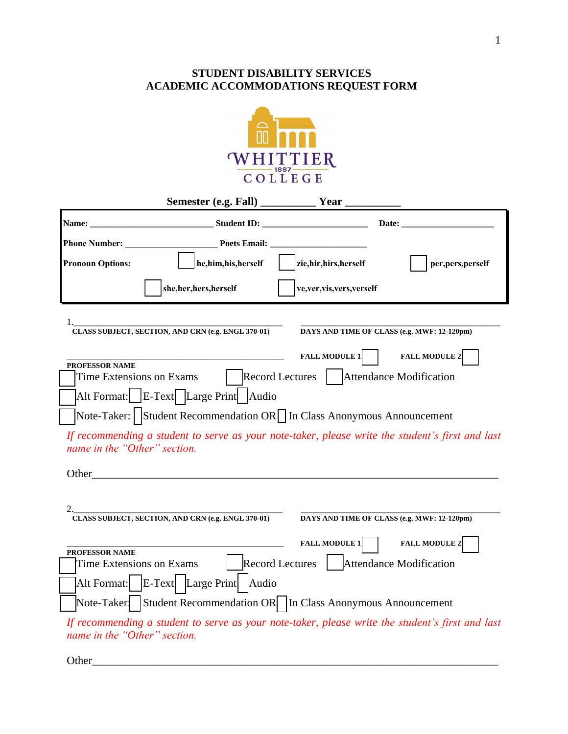## **STUDENT DISABILITY SERVICES ACADEMIC ACCOMMODATIONS REQUEST FORM**



|                                            | Name: Student ID:                                                                                                                                                                                                              |                                           |                                                                                                  |
|--------------------------------------------|--------------------------------------------------------------------------------------------------------------------------------------------------------------------------------------------------------------------------------|-------------------------------------------|--------------------------------------------------------------------------------------------------|
|                                            |                                                                                                                                                                                                                                |                                           |                                                                                                  |
| <b>Pronoun Options:</b>                    | he,him,his,herself                                                                                                                                                                                                             | zie, hir, hirs, herself                   | per, pers, perself                                                                               |
|                                            | she, her, hers, herself                                                                                                                                                                                                        | ve, ver, vis, vers, verself               |                                                                                                  |
| 1.                                         | CLASS SUBJECT, SECTION, AND CRN (e.g. ENGL 370-01)                                                                                                                                                                             |                                           | DAYS AND TIME OF CLASS (e.g. MWF: 12-120pm)                                                      |
|                                            | the control of the control of the control of the control of the control of the control of                                                                                                                                      | <b>FALL MODULE 1</b>                      | <b>FALL MODULE 2</b>                                                                             |
| PROFESSOR NAME<br>Time Extensions on Exams |                                                                                                                                                                                                                                | Record Lectures   Attendance Modification |                                                                                                  |
|                                            | Alt Format: E-Text Large Print Audio                                                                                                                                                                                           |                                           |                                                                                                  |
|                                            | Note-Taker:   Student Recommendation OR   In Class Anonymous Announcement                                                                                                                                                      |                                           |                                                                                                  |
| name in the "Other" section.               |                                                                                                                                                                                                                                |                                           | If recommending a student to serve as your note-taker, please write the student's first and last |
|                                            | Other contracts and the contract of the contract of the contract of the contract of the contract of the contract of the contract of the contract of the contract of the contract of the contract of the contract of the contra |                                           |                                                                                                  |
|                                            | CLASS SUBJECT, SECTION, AND CRN (e.g. ENGL 370-01)                                                                                                                                                                             |                                           | DAYS AND TIME OF CLASS (e.g. MWF: 12-120pm)                                                      |
|                                            |                                                                                                                                                                                                                                | <b>FALL MODULE 1</b>                      | <b>FALL MODULE 2</b>                                                                             |
| PROFESSOR NAME<br>Time Extensions on Exams |                                                                                                                                                                                                                                | Record Lectures   Attendance Modification |                                                                                                  |
|                                            | Alt Format:   E-Text   Large Print   Audio                                                                                                                                                                                     |                                           |                                                                                                  |
|                                            | Note-Taker   Student Recommendation OR   In Class Anonymous Announcement                                                                                                                                                       |                                           |                                                                                                  |
|                                            |                                                                                                                                                                                                                                |                                           | If recommending a student to serve as your note-taker, please write the student's first and last |

Other\_\_\_\_\_\_\_\_\_\_\_\_\_\_\_\_\_\_\_\_\_\_\_\_\_\_\_\_\_\_\_\_\_\_\_\_\_\_\_\_\_\_\_\_\_\_\_\_\_\_\_\_\_\_\_\_\_\_\_\_\_\_\_\_\_\_\_\_\_\_\_\_\_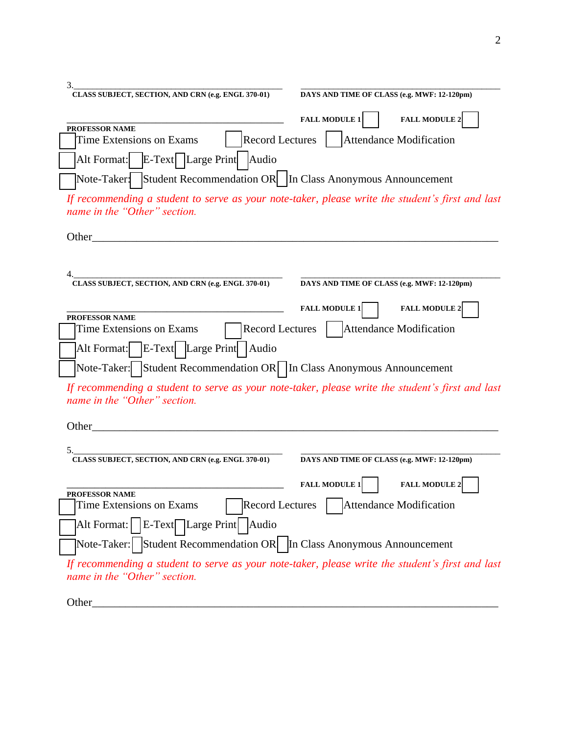| 3.<br>CLASS SUBJECT, SECTION, AND CRN (e.g. ENGL 370-01)                                         |                                              |
|--------------------------------------------------------------------------------------------------|----------------------------------------------|
|                                                                                                  | DAYS AND TIME OF CLASS (e.g. MWF: 12-120pm)  |
|                                                                                                  | <b>FALL MODULE 1</b><br><b>FALL MODULE 2</b> |
| PROFESSOR NAME<br><b>Record Lectures</b><br>Time Extensions on Exams                             | Attendance Modification                      |
| E-Text   Large Print   Audio<br>Alt Format:                                                      |                                              |
| Note-Taker: Student Recommendation OR   In Class Anonymous Announcement                          |                                              |
| If recommending a student to serve as your note-taker, please write the student's first and last |                                              |
| name in the "Other" section.                                                                     |                                              |
| Other $\_$                                                                                       |                                              |
|                                                                                                  |                                              |
|                                                                                                  |                                              |
| CLASS SUBJECT, SECTION, AND CRN (e.g. ENGL 370-01)                                               | DAYS AND TIME OF CLASS (e.g. MWF: 12-120pm)  |
|                                                                                                  | <b>FALL MODULE 2</b><br><b>FALL MODULE 1</b> |
| PROFESSOR NAME                                                                                   |                                              |
| <b>Record Lectures</b><br>Time Extensions on Exams                                               | Attendance Modification                      |
| E-Text Large Print Audio<br>Alt Format:                                                          |                                              |
| Note-Taker: Student Recommendation OR In Class Anonymous Announcement                            |                                              |
| If recommending a student to serve as your note-taker, please write the student's first and last |                                              |
| name in the "Other" section.                                                                     |                                              |
| Other_                                                                                           |                                              |
|                                                                                                  |                                              |
| 5.<br>CLASS SUBJECT, SECTION, AND CRN (e.g. ENGL 370-01)                                         | DAYS AND TIME OF CLASS (e.g. MWF: 12-120pm)  |
|                                                                                                  |                                              |
| PROFESSOR NAME                                                                                   | <b>FALL MODULE 2</b><br><b>FALL MODULE 1</b> |
| <b>Record Lectures</b><br><b>Time Extensions on Exams</b>                                        | Attendance Modification                      |
| $ E-Text $ Large Print   Audio<br>Alt Format:                                                    |                                              |
| Note-Taker:   Student Recommendation OR   In Class Anonymous Announcement                        |                                              |
| If recommending a student to serve as your note-taker, please write the student's first and last |                                              |
| name in the "Other" section.                                                                     |                                              |
|                                                                                                  |                                              |
| Other_                                                                                           |                                              |